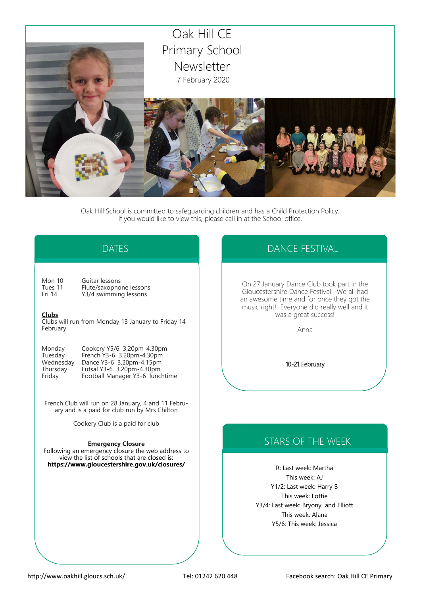

Oak Hill School is committed to safeguarding children and has a Child Protection Policy. If you would like to view this, please call in at the School office.

# DATES

Mon 10 Guitar lessons<br>Tues 11 Flute/saxopho Tues 11 Flute/saxophone lessons<br>Fri 14 Y3/4 swimming lessons Y3/4 swimming lessons

### **Clubs**

Clubs will run from Monday 13 January to Friday 14 February

| Monday    | Cookery Y5/6 3.20pm-4.30pm      |
|-----------|---------------------------------|
| Tuesday   | French Y3-6 3.20pm-4.30pm       |
| Wednesday | Dance Y3-6 3.20pm-4.15pm        |
| Thursdav  | Futsal Y3-6 3.20pm-4.30pm       |
| Friday    | Football Manager Y3-6 lunchtime |

French Club will run on 28 January, 4 and 11 February and is a paid for club run by Mrs Chilton

Cookery Club is a paid for club

### **Emergency Closure**

Following an emergency closure the web address to view the list of schools that are closed is: **https://www.gloucestershire.gov.uk/closures/**

# DANCE FESTIVAL

On 27 January Dance Club took part in the Gloucestershire Dance Festival. We all had an awesome time and for once they got the music right! Everyone did really well and it was a great success!

Anna

10-21 February

# STARS OF THE WEEK

R: Last week: Martha This week: AJ Y1/2: Last week: Harry B This week: Lottie Y3/4: Last week: Bryony and Elliott This week: Alana Y5/6: This week: Jessica